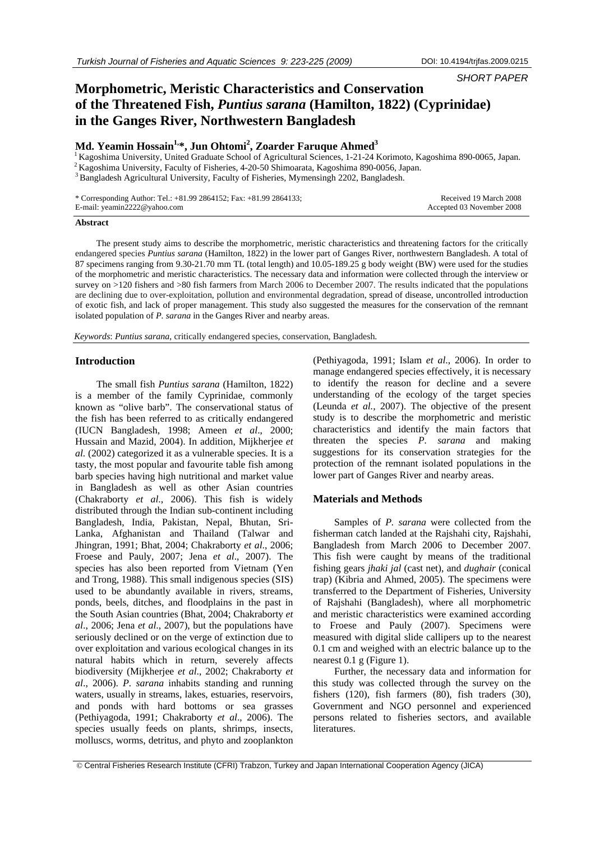*SHORT PAPER* 

# **Morphometric, Meristic Characteristics and Conservation of the Threatened Fish,** *Puntius sarana* **(Hamilton, 1822) (Cyprinidae) in the Ganges River, Northwestern Bangladesh**

## **Md. Yeamin Hossain1,\*, Jun Ohtomi2 , Zoarder Faruque Ahmed<sup>3</sup>**

<sup>1</sup> Kagoshima University, United Graduate School of Agricultural Sciences, 1-21-24 Korimoto, Kagoshima 890-0065, Japan.<br><sup>2</sup> Kagoshima University, Faculty of Fisheries, 4-20-50 Shimoarata, Kagoshima 890-0056, Japan.<br><sup>3</sup> Ba

| * Corresponding Author: Tel.: $+81.99\,2864152$ ; Fax: $+81.99\,2864133$ ; | Received 19 March 2008    |
|----------------------------------------------------------------------------|---------------------------|
| E-mail: yeamin2222@yahoo.com                                               | Accepted 03 November 2008 |

#### **Abstract**

The present study aims to describe the morphometric, meristic characteristics and threatening factors for the critically endangered species *Puntius sarana* (Hamilton, 1822) in the lower part of Ganges River, northwestern Bangladesh. A total of 87 specimens ranging from 9.30-21.70 mm TL (total length) and 10.05-189.25 g body weight (BW) were used for the studies of the morphometric and meristic characteristics. The necessary data and information were collected through the interview or survey on >120 fishers and >80 fish farmers from March 2006 to December 2007. The results indicated that the populations are declining due to over-exploitation, pollution and environmental degradation, spread of disease, uncontrolled introduction of exotic fish, and lack of proper management. This study also suggested the measures for the conservation of the remnant isolated population of *P. sarana* in the Ganges River and nearby areas.

*Keywords*: *Puntius sarana*, critically endangered species, conservation, Bangladesh.

#### **Introduction**

The small fish *Puntius sarana* (Hamilton, 1822) is a member of the family Cyprinidae, commonly known as "olive barb". The conservational status of the fish has been referred to as critically endangered (IUCN Bangladesh, 1998; Ameen *et al*., 2000; Hussain and Mazid, 2004). In addition, Mijkherjee *et al.* (2002) categorized it as a vulnerable species. It is a tasty, the most popular and favourite table fish among barb species having high nutritional and market value in Bangladesh as well as other Asian countries (Chakraborty *et al*., 2006). This fish is widely distributed through the Indian sub-continent including Bangladesh, India, Pakistan, Nepal, Bhutan, Sri-Lanka, Afghanistan and Thailand (Talwar and Jhingran, 1991; Bhat, 2004; Chakraborty *et al*., 2006; Froese and Pauly, 2007; Jena *et al*., 2007). The species has also been reported from Vietnam (Yen and Trong, 1988). This small indigenous species (SIS) used to be abundantly available in rivers, streams, ponds, beels, ditches, and floodplains in the past in the South Asian countries (Bhat, 2004; Chakraborty *et al*., 2006; Jena *et al*., 2007), but the populations have seriously declined or on the verge of extinction due to over exploitation and various ecological changes in its natural habits which in return, severely affects biodiversity (Mijkherjee *et al*., 2002; Chakraborty *et al*., 2006). *P. sarana* inhabits standing and running waters, usually in streams, lakes, estuaries, reservoirs, and ponds with hard bottoms or sea grasses (Pethiyagoda, 1991; Chakraborty *et al*., 2006). The species usually feeds on plants, shrimps, insects, molluscs, worms, detritus, and phyto and zooplankton

(Pethiyagoda, 1991; Islam *et al*., 2006). In order to manage endangered species effectively, it is necessary to identify the reason for decline and a severe understanding of the ecology of the target species (Leunda *et al.,* 2007). The objective of the present study is to describe the morphometric and meristic characteristics and identify the main factors that threaten the species *P. sarana* and making suggestions for its conservation strategies for the protection of the remnant isolated populations in the lower part of Ganges River and nearby areas.

#### **Materials and Methods**

Samples of *P. sarana* were collected from the fisherman catch landed at the Rajshahi city, Rajshahi, Bangladesh from March 2006 to December 2007. This fish were caught by means of the traditional fishing gears *jhaki jal* (cast net), and *dughair* (conical trap) (Kibria and Ahmed, 2005). The specimens were transferred to the Department of Fisheries, University of Rajshahi (Bangladesh), where all morphometric and meristic characteristics were examined according to Froese and Pauly (2007). Specimens were measured with digital slide callipers up to the nearest 0.1 cm and weighed with an electric balance up to the nearest 0.1 g (Figure 1).

Further, the necessary data and information for this study was collected through the survey on the fishers (120), fish farmers (80), fish traders (30), Government and NGO personnel and experienced persons related to fisheries sectors, and available literatures.

 <sup>©</sup> Central Fisheries Research Institute (CFRI) Trabzon, Turkey and Japan International Cooperation Agency (JICA)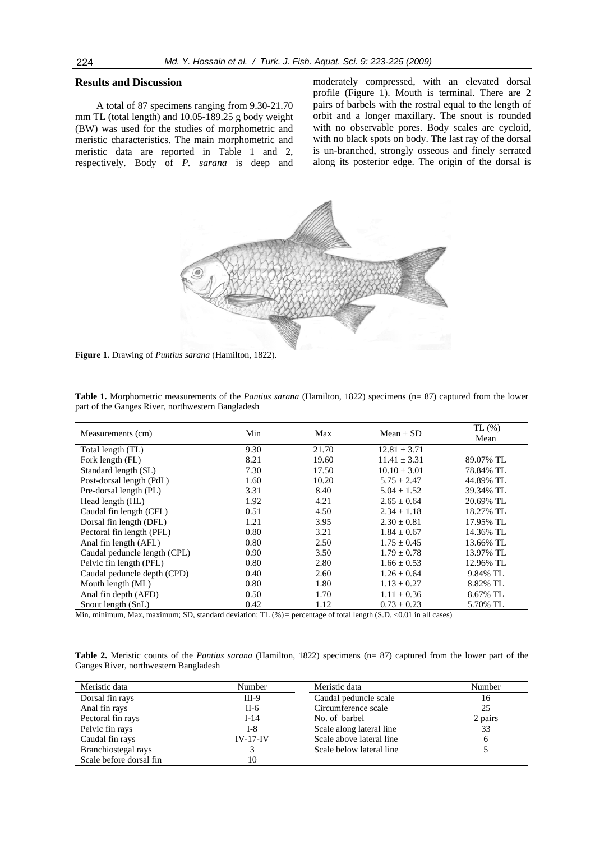### **Results and Discussion**

A total of 87 specimens ranging from 9.30-21.70 mm TL (total length) and 10.05-189.25 g body weight (BW) was used for the studies of morphometric and meristic characteristics. The main morphometric and meristic data are reported in Table 1 and 2, respectively. Body of *P. sarana* is deep and moderately compressed, with an elevated dorsal profile (Figure 1). Mouth is terminal. There are 2 pairs of barbels with the rostral equal to the length of orbit and a longer maxillary. The snout is rounded with no observable pores. Body scales are cycloid, with no black spots on body. The last ray of the dorsal is un-branched, strongly osseous and finely serrated along its posterior edge. The origin of the dorsal is



**Figure 1.** Drawing of *Puntius sarana* (Hamilton, 1822).

| Table 1. Morphometric measurements of the <i>Pantius sarana</i> (Hamilton, 1822) specimens (n= 87) captured from the lower |  |  |  |
|----------------------------------------------------------------------------------------------------------------------------|--|--|--|
| part of the Ganges River, northwestern Bangladesh                                                                          |  |  |  |

|                              | Min<br>Max<br>Mean $\pm$ SD<br>Measurements (cm) |       | TL(%)            |           |
|------------------------------|--------------------------------------------------|-------|------------------|-----------|
|                              |                                                  |       | Mean             |           |
| Total length (TL)            | 9.30                                             | 21.70 | $12.81 \pm 3.71$ |           |
| Fork length (FL)             | 8.21                                             | 19.60 | $11.41 \pm 3.31$ | 89.07% TL |
| Standard length (SL)         | 7.30                                             | 17.50 | $10.10 \pm 3.01$ | 78.84% TL |
| Post-dorsal length (PdL)     | 1.60                                             | 10.20 | $5.75 \pm 2.47$  | 44.89% TL |
| Pre-dorsal length (PL)       | 3.31                                             | 8.40  | $5.04 \pm 1.52$  | 39.34% TL |
| Head length (HL)             | 1.92                                             | 4.21  | $2.65 + 0.64$    | 20.69% TL |
| Caudal fin length (CFL)      | 0.51                                             | 4.50  | $2.34 \pm 1.18$  | 18.27% TL |
| Dorsal fin length (DFL)      | 1.21                                             | 3.95  | $2.30 \pm 0.81$  | 17.95% TL |
| Pectoral fin length (PFL)    | 0.80                                             | 3.21  | $1.84 \pm 0.67$  | 14.36% TL |
| Anal fin length (AFL)        | 0.80                                             | 2.50  | $1.75 \pm 0.45$  | 13.66% TL |
| Caudal peduncle length (CPL) | 0.90                                             | 3.50  | $1.79 \pm 0.78$  | 13.97% TL |
| Pelvic fin length (PFL)      | 0.80                                             | 2.80  | $1.66 \pm 0.53$  | 12.96% TL |
| Caudal peduncle depth (CPD)  | 0.40                                             | 2.60  | $1.26 \pm 0.64$  | 9.84% TL  |
| Mouth length (ML)            | 0.80                                             | 1.80  | $1.13 + 0.27$    | 8.82% TL  |
| Anal fin depth (AFD)         | 0.50                                             | 1.70  | $1.11 + 0.36$    | 8.67% TL  |
| Snout length (SnL)           | 0.42                                             | 1.12  | $0.73 \pm 0.23$  | 5.70% TL  |

Min, minimum, Max, maximum; SD, standard deviation; TL (%) = percentage of total length (S.D. <0.01 in all cases)

**Table 2.** Meristic counts of the *Pantius sarana* (Hamilton, 1822) specimens (n= 87) captured from the lower part of the Ganges River, northwestern Bangladesh

| Meristic data           | Number     | Meristic data            | Number  |
|-------------------------|------------|--------------------------|---------|
| Dorsal fin rays         | $III-9$    | Caudal peduncle scale    | 16      |
| Anal fin rays           | $II-6$     | Circumference scale      | 25      |
| Pectoral fin rays       | $I-14$     | No. of barbel            | 2 pairs |
| Pelvic fin rays         | I-8        | Scale along lateral line | 33      |
| Caudal fin rays         | $IV-17-IV$ | Scale above lateral line | 6       |
| Branchiostegal rays     |            | Scale below lateral line |         |
| Scale before dorsal fin | 10         |                          |         |